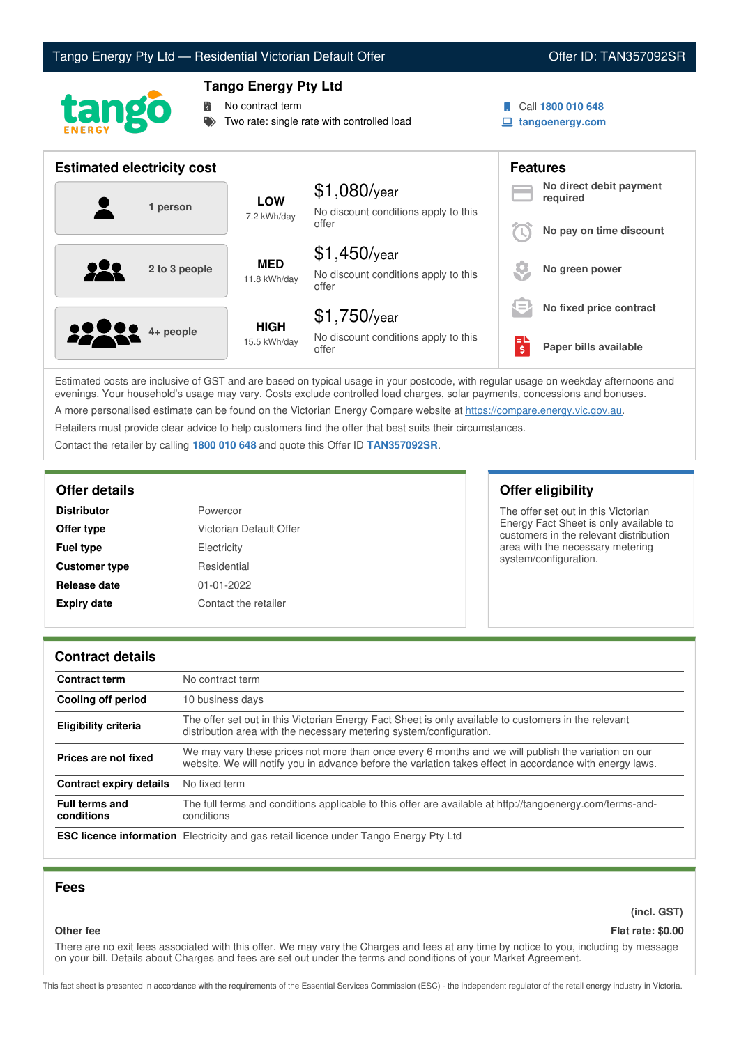# Tango Energy Pty Ltd — Residential Victorian Default Offer **Communist Communist Communist Communist Communist Communist Communist Communist Communist Communist Communist Communist Communist Communist Communist Communist Co**



## **Tango Energy Pty Ltd**

**No contract term** 

Two rate: single rate with controlled load

- Call **1800 010 648**
- **tangoenergy.com**

| <b>Estimated electricity cost</b> |                             | <b>Features</b>                                                 |                                              |                                     |
|-----------------------------------|-----------------------------|-----------------------------------------------------------------|----------------------------------------------|-------------------------------------|
| 1 person                          | <b>LOW</b><br>7.2 kWh/day   | $$1,080$ /year<br>No discount conditions apply to this          |                                              | No direct debit payment<br>required |
|                                   |                             | offer                                                           |                                              | No pay on time discount             |
| 2 to 3 people                     | <b>MED</b><br>11.8 kWh/day  | $$1,450$ /year<br>No discount conditions apply to this<br>offer |                                              | No green power                      |
|                                   |                             | $$1,750$ /year                                                  | $\overline{\phantom{a}}$<br>$\hspace{0.1mm}$ | No fixed price contract             |
| <b>2000</b> 4+ people             | <b>HIGH</b><br>15.5 kWh/day | No discount conditions apply to this<br>offer                   | $\overline{\boldsymbol{\xi}}$                | Paper bills available               |

Estimated costs are inclusive of GST and are based on typical usage in your postcode, with regular usage on weekday afternoons and evenings. Your household's usage may vary. Costs exclude controlled load charges, solar payments, concessions and bonuses. A more personalised estimate can be found on the Victorian Energy Compare website at <https://compare.energy.vic.gov.au>.

Retailers must provide clear advice to help customers find the offer that best suits their circumstances.

Contact the retailer by calling **1800 010 648** and quote this Offer ID **TAN357092SR**.

| <b>Distributor</b>   | Powercor                |
|----------------------|-------------------------|
| Offer type           | Victorian Default Offer |
| <b>Fuel type</b>     | Electricity             |
| <b>Customer type</b> | Residential             |
| Release date         | $01 - 01 - 2022$        |
| <b>Expiry date</b>   | Contact the retailer    |

## **Offer details Offer eligibility**

The offer set out in this Victorian Energy Fact Sheet is only available to customers in the relevant distribution area with the necessary metering system/configuration.

### **Contract details**

| <b>Contract term</b>                | No contract term                                                                                                                                                                                                |
|-------------------------------------|-----------------------------------------------------------------------------------------------------------------------------------------------------------------------------------------------------------------|
| <b>Cooling off period</b>           | 10 business days                                                                                                                                                                                                |
| Eligibility criteria                | The offer set out in this Victorian Energy Fact Sheet is only available to customers in the relevant<br>distribution area with the necessary metering system/configuration.                                     |
| Prices are not fixed                | We may vary these prices not more than once every 6 months and we will publish the variation on our<br>website. We will notify you in advance before the variation takes effect in accordance with energy laws. |
| <b>Contract expiry details</b>      | No fixed term                                                                                                                                                                                                   |
| <b>Full terms and</b><br>conditions | The full terms and conditions applicable to this offer are available at http://tangoenergy.com/terms-and-<br>conditions                                                                                         |
|                                     | <b>ESC licence information</b> Electricity and gas retail licence under Tango Energy Pty Ltd                                                                                                                    |

## **Fees**

**(incl. GST)**

**Other fee Flat rate: \$0.00**

There are no exit fees associated with this offer. We may vary the Charges and fees at any time by notice to you, including by message on your bill. Details about Charges and fees are set out under the terms and conditions of your Market Agreement.

This fact sheet is presented in accordance with the requirements of the Essential Services Commission (ESC) - the independent regulator of the retail energy industry in Victoria.